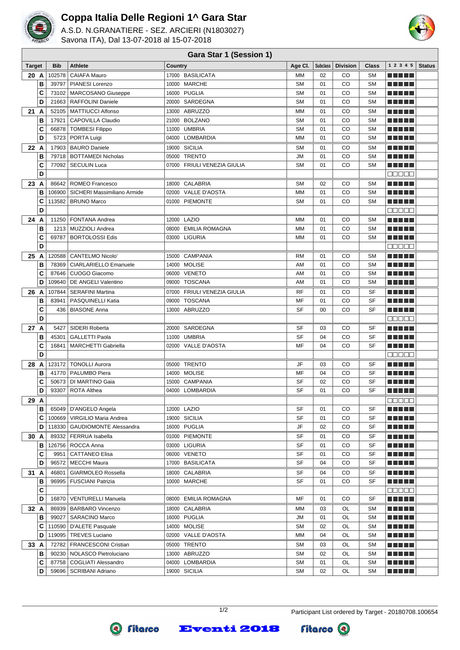

## **Coppa Italia Delle Regioni 1^ Gara Star**

A.S.D. N.GRANATIERE - SEZ. ARCIERI (N1803027) Savona ITA), Dal 13-07-2018 al 15-07-2018



## **Gara Star 1 (Session 1)**

| <b>Target</b> |        | <b>Bib</b> | <b>Athlete</b>                                     | <b>Country</b>                 | Age CI.         | <b>Subclass</b> | <b>Division</b> | Class                  | 1 2 3 4 5                              | <b>Status</b> |
|---------------|--------|------------|----------------------------------------------------|--------------------------------|-----------------|-----------------|-----------------|------------------------|----------------------------------------|---------------|
| 20 A          |        | 102578     | <b>CAIAFA Mauro</b>                                | 17000 BASILICATA               | <b>MM</b>       | 02              | CO              | <b>SM</b>              | ma mata                                |               |
|               | В      | 39797      | PIANESI Lorenzo                                    | 10000 MARCHE                   | <b>SM</b>       | 01              | CO              | <b>SM</b>              |                                        |               |
|               | C      | 73102      | MARCOSANO Giuseppe                                 | 16000 PUGLIA                   | <b>SM</b>       | 01              | CO              | <b>SM</b>              |                                        |               |
|               | D      |            | 21663   RAFFOLINI Daniele                          | 20000 SARDEGNA                 | <b>SM</b>       | 01              | CO              | <b>SM</b>              |                                        |               |
| 21 A          |        | 52105      | <b>MATTIUCCI Alfonso</b>                           | 13000 ABRUZZO                  | <b>MM</b>       | 01              | CO              | <b>SM</b>              | n din din                              |               |
|               | В      | 17921      | <b>CAPOVILLA Claudio</b>                           | 21000 BOLZANO                  | <b>SM</b>       | 01              | CO              | <b>SM</b>              | ma matsa                               |               |
|               | C      | 66878      | <b>TOMBESI Filippo</b>                             | 11000 UMBRIA                   | <b>SM</b>       | 01              | CO              | <b>SM</b>              |                                        |               |
|               | D      | 5723       | PORTA Luigi                                        | 04000 LOMBARDIA                | <b>MM</b>       | 01              | CO              | <b>SM</b>              | TI NI NI N                             |               |
| 22 A          |        |            | 17903   BAURO Daniele                              | 19000 SICILIA                  | <b>SM</b>       | 01              | CO              | <b>SM</b>              | ma matsa                               |               |
|               | В      |            | 79718   BOTTAMEDI Nicholas                         | 05000 TRENTO                   | <b>JM</b>       | 01              | CO              | <b>SM</b>              | THEFL                                  |               |
|               | C      | 77092      | <b>SECULIN Luca</b>                                | 07000 FRIULI VENEZIA GIULIA    | <b>SM</b>       | 01              | CO              | <b>SM</b>              | ma matsa                               |               |
|               | D      |            |                                                    |                                |                 |                 |                 |                        | Maaan                                  |               |
| 23 A          |        |            | 86642   ROMEO Francesco                            | 18000 CALABRIA                 | <b>SM</b>       | 02              | CO              | <b>SM</b>              | ma matsa                               |               |
|               | B      |            | 106900   SICHERI Massimiliano Armide               | 02000 VALLE D'AOSTA            | <b>MM</b>       | 01              | CO              | <b>SM</b>              | - 11                                   |               |
|               | C      |            | 113582   BRUNO Marco                               | 01000 PIEMONTE                 | <b>SM</b>       | 01              | CO              | <b>SM</b>              |                                        |               |
|               | D      |            |                                                    |                                |                 |                 |                 |                        | 88888                                  |               |
| 24 A          |        |            | 11250   FONTANA Andrea                             | 12000 LAZIO                    | <b>MM</b>       | 01              | CO              | <b>SM</b>              | ma mata                                |               |
|               | В      |            | 1213   MUZZIOLI Andrea                             | 08000 EMILIA ROMAGNA           | <b>MM</b>       | 01              | CO              | <b>SM</b>              | n din bir                              |               |
|               | C<br>D |            | 69787   BORTOLOSSI Edis                            | 03000 LIGURIA                  | <b>MM</b>       | 01              | CO              | <b>SM</b>              | ma matsa<br>88888                      |               |
|               |        |            |                                                    |                                |                 |                 |                 |                        |                                        |               |
| 25 A          | B      | 78369      | 120588   CANTELMO Nicolo'                          | 15000 CAMPANIA<br>14000 MOLISE | <b>RM</b>       | 01              | CO              | <b>SM</b>              | n din bir                              |               |
|               | C      | 87646      | <b>CIARLARIELLO Emanuele</b><br>CUOGO Giacomo      | 06000 VENETO                   | AM<br>AM        | 01<br>01        | CO<br>CO        | <b>SM</b><br><b>SM</b> | ma matsa                               |               |
|               | D      | 109640     | DE ANGELI Valentino                                | 09000 TOSCANA                  | AM              | 01              | CO              | <b>SM</b>              |                                        |               |
| 26<br>A       |        | 107844     | <b>SERAFINI Martina</b>                            | 07000 FRIULI VENEZIA GIULIA    | RF              | 01              | CO              | SF                     | ma matsa                               |               |
|               | В      | 83941      | PASQUINELLI Katia                                  | 09000 TOSCANA                  | MF              | 01              | CO              | <b>SF</b>              |                                        |               |
|               | C      | 436        | <b>BIASONE Anna</b>                                | 13000 ABRUZZO                  | <b>SF</b>       | 00              | CO              | SF                     | ma matsa                               |               |
|               | D      |            |                                                    |                                |                 |                 |                 |                        | 88888                                  |               |
| 27 A          |        | 5427       | SIDERI Roberta                                     | 20000 SARDEGNA                 | SF              | 03              | CO              | SF                     | ma matsa                               |               |
|               | B      | 45301      | <b>GALLETTI Paola</b>                              | 11000 UMBRIA                   | <b>SF</b>       | 04              | CO              | SF                     | TI NI NI N                             |               |
|               | C      | 16841      | MARCHETTI Gabriella                                | 02000 VALLE D'AOSTA            | MF              | 04              | CO              | SF                     | ma matsa                               |               |
|               | D      |            |                                                    |                                |                 |                 |                 |                        | an a sa                                |               |
| 28 A          |        |            | 123172   TONOLLI Aurora                            | 05000 TRENTO                   | JF              | 03              | CO              | SF                     |                                        |               |
|               | В      |            | 41770   PALUMBO Piera                              | 14000 MOLISE                   | MF              | 04              | CO              | <b>SF</b>              | a katika I                             |               |
|               | c      |            | 50673   DI MARTINO Gaia                            | 15000 CAMPANIA                 | <b>SF</b>       | 02              | CO              | SF                     | a da da b                              |               |
|               | D      | 93307      | <b>ROTA Althea</b>                                 | 04000 LOMBARDIA                | <b>SF</b>       | 01              | CO              | SF                     | n din bir                              |               |
| 29 A          |        |            |                                                    |                                |                 |                 |                 |                        | ana an                                 |               |
|               | в      |            | 65049   D'ANGELO Angela                            | 12000 LAZIO                    | SF              | 01              | CO              | SF                     | <u> La Barta</u>                       |               |
|               | C      | 100669     | VIRGILIO Maria Andrea                              | 19000 SICILIA                  | <b>SF</b>       | 01              | CO              | SF                     | ma mata                                |               |
|               | D      | 118330     | <b>GAUDIOMONTE Alessandra</b>                      | 16000 PUGLIA                   | JF              | 02              | CO              | SF                     | <u> El Berto de la </u>                |               |
| 30 A          |        | 89332      | <b>FERRUA</b> Isabella                             | 01000 PIEMONTE                 | SF              | 01              | CO              | SF                     | <u> El El El E</u>                     |               |
|               | в      |            | 126756   ROCCA Anna                                | 03000 LIGURIA                  | SF              | 01              | CO              | SF                     | E E E E E                              |               |
|               | С      | 9951       | <b>CATTANEO Elisa</b>                              | 06000 VENETO                   | SF              | 01              | CO              | SF                     | <u> El Bell</u>                        |               |
|               | D      | 96572      | <b>MECCHI Maura</b>                                | 17000 BASILICATA               | SF              | 04              | CO              | SF                     | <u> Literatur</u>                      |               |
| 31 A          |        | 46801      | <b>GIARMOLEO Rossella</b>                          | 18000 CALABRIA                 | SF              | 04              | CO              | SF                     | ME DE L                                |               |
|               | в      | 96995      | <b>FUSCIANI Patrizia</b>                           | 10000 MARCHE                   | SF              | 01              | CO              | SF                     | <u> Literatur</u>                      |               |
|               | C      |            |                                                    |                                |                 |                 |                 |                        | 88888                                  |               |
|               | D      | 16870      | VENTURELLI Manuela                                 | 08000 EMILIA ROMAGNA           | MF              | 01              | CO              | SF                     | <u> Listo Lit</u>                      |               |
| 32 A          | в      |            | 86939   BARBARO Vincenzo                           | 18000 CALABRIA                 | MM              | 03              | OL<br>OL        | SΜ<br><b>SM</b>        | <u> El El El E</u>                     |               |
|               | С      | 99027      | <b>SARACINO Marco</b><br>110590   D'ALETE Pasquale | 16000 PUGLIA<br>14000 MOLISE   | JМ<br><b>SM</b> | 01<br>02        | OL              | SM                     | <u> Listo Lit</u>                      |               |
|               | D      |            | 119095   TREVES Luciano                            | 02000 VALLE D'AOSTA            | МM              | 04              | OL              | <b>SM</b>              | <u> Listo Lit</u><br><u> Listo Lit</u> |               |
| 33 A          |        |            | 72782   FRANCESCONI Cristian                       | 05000 TRENTO                   | <b>SM</b>       | 03              | OL              | SМ                     | <u> Listo Lit</u>                      |               |
|               | в      |            | 90230   NOLASCO Pietroluciano                      | 13000 ABRUZZO                  | <b>SM</b>       | 02              | OL              | <b>SM</b>              |                                        |               |
|               | С      | 87758      | <b>COGLIATI Alessandro</b>                         | 04000 LOMBARDIA                | SΜ              | 01              | OL              | SΜ                     | <u> Literatur</u>                      |               |
|               | D      |            | 59696   SCRIBANI Adriano                           | 19000 SICILIA                  | <b>SM</b>       | 02              | OL              | SΜ                     | <u> E E E E E</u>                      |               |
|               |        |            |                                                    |                                |                 |                 |                 |                        |                                        |               |



**Eventi 2018** 

1/2 Participant List ordered by Target - 20180708.100654

**Fitarco** @